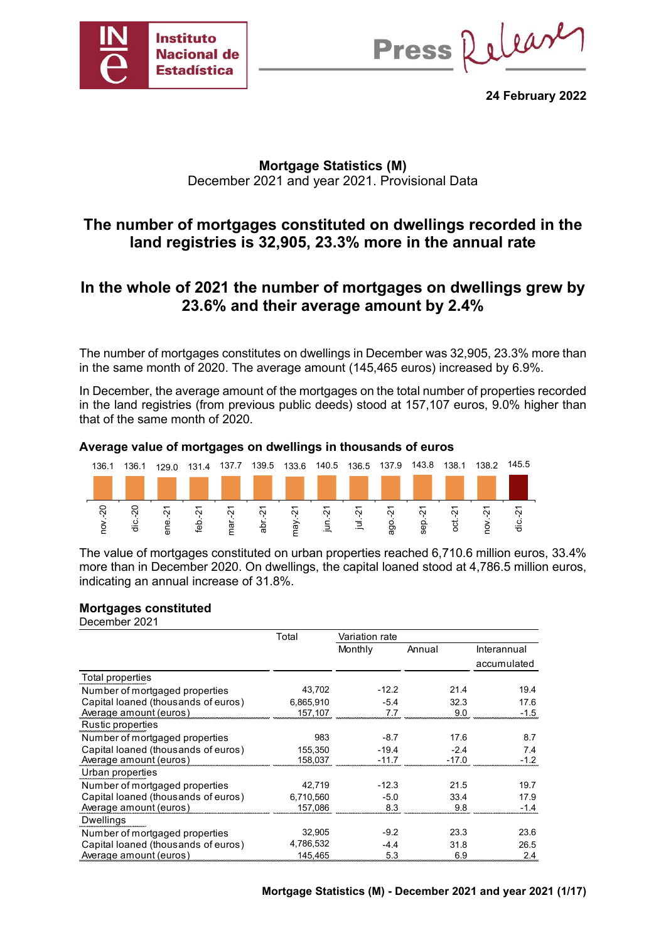

Press Release

**24 February 2022**

## **Mortgage Statistics (M)** December 2021 and year 2021. Provisional Data

## **The number of mortgages constituted on dwellings recorded in the land registries is 32,905, 23.3% more in the annual rate**

## **In the whole of 2021 the number of mortgages on dwellings grew by 23.6% and their average amount by 2.4%**

The number of mortgages constitutes on dwellings in December was 32,905, 23.3% more than in the same month of 2020. The average amount (145,465 euros) increased by 6.9%.

In December, the average amount of the mortgages on the total number of properties recorded in the land registries (from previous public deeds) stood at 157,107 euros, 9.0% higher than that of the same month of 2020.

#### **Average value of mortgages on dwellings in thousands of euros**



The value of mortgages constituted on urban properties reached 6,710.6 million euros, 33.4% more than in December 2020. On dwellings, the capital loaned stood at 4,786.5 million euros, indicating an annual increase of 31.8%.

#### **Mortgages constituted**

December 2021

|                                     | Total     | Variation rate |         |             |
|-------------------------------------|-----------|----------------|---------|-------------|
|                                     |           | Monthly        | Annual  | Interannual |
|                                     |           |                |         | accumulated |
| Total properties                    |           |                |         |             |
| Number of mortgaged properties      | 43,702    | $-12.2$        | 21.4    | 19.4        |
| Capital loaned (thousands of euros) | 6.865.910 | $-5.4$         | 32.3    | 17.6        |
| Average amount (euros)              | 157,107   | 7.7            | 9.0     | $-1.5$      |
| Rustic properties                   |           |                |         |             |
| Number of mortgaged properties      | 983       | $-8.7$         | 17.6    | 8.7         |
| Capital loaned (thousands of euros) | 155,350   | $-19.4$        | $-2.4$  | 7.4         |
| Average amount (euros)              | 158.037   | $-11.7$        | $-17.0$ | $-1.2$      |
| Urban properties                    |           |                |         |             |
| Number of mortgaged properties      | 42,719    | $-12.3$        | 21.5    | 19.7        |
| Capital loaned (thousands of euros) | 6.710.560 | $-5.0$         | 33.4    | 17.9        |
| Average amount (euros)              | 157.086   | 8.3            | 9.8     | $-1.4$      |
| Dwellings                           |           |                |         |             |
| Number of mortgaged properties      | 32,905    | $-9.2$         | 23.3    | 23.6        |
| Capital loaned (thousands of euros) | 4,786,532 | $-4.4$         | 31.8    | 26.5        |
| Average amount (euros)              | 145,465   | 5.3            | 6.9     | 2.4         |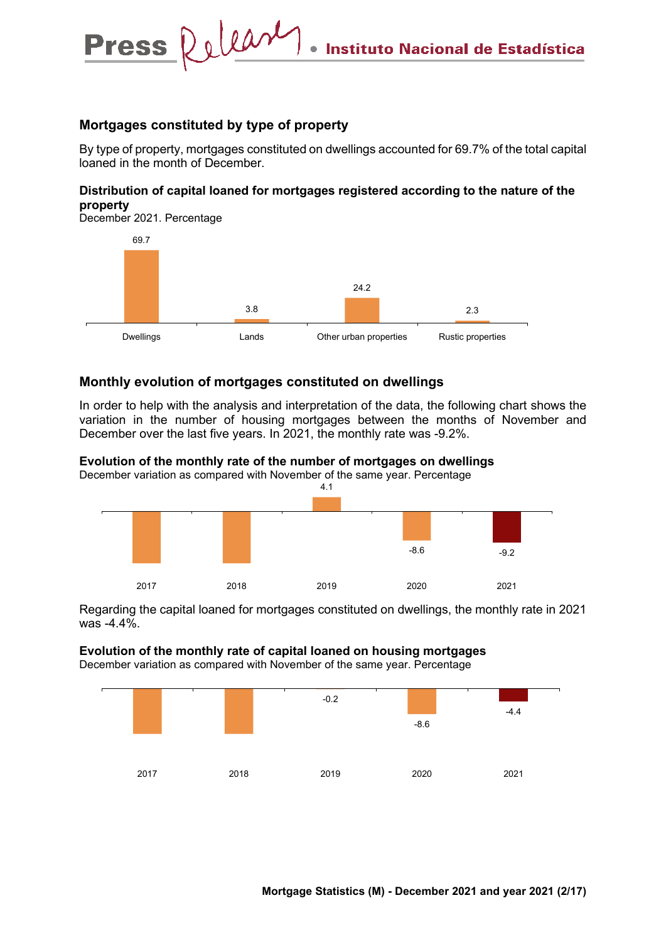#### **Mortgages constituted by type of property**

Press Relear

By type of property, mortgages constituted on dwellings accounted for 69.7% of the total capital loaned in the month of December.

#### **Distribution of capital loaned for mortgages registered according to the nature of the property**

December 2021. Percentage



## **Monthly evolution of mortgages constituted on dwellings**

In order to help with the analysis and interpretation of the data, the following chart shows the variation in the number of housing mortgages between the months of November and December over the last five years. In 2021, the monthly rate was -9.2%.

#### **Evolution of the monthly rate of the number of mortgages on dwellings**

December variation as compared with November of the same year. Percentage



Regarding the capital loaned for mortgages constituted on dwellings, the monthly rate in 2021 was -4.4%.

#### **Evolution of the monthly rate of capital loaned on housing mortgages**

December variation as compared with November of the same year. Percentage

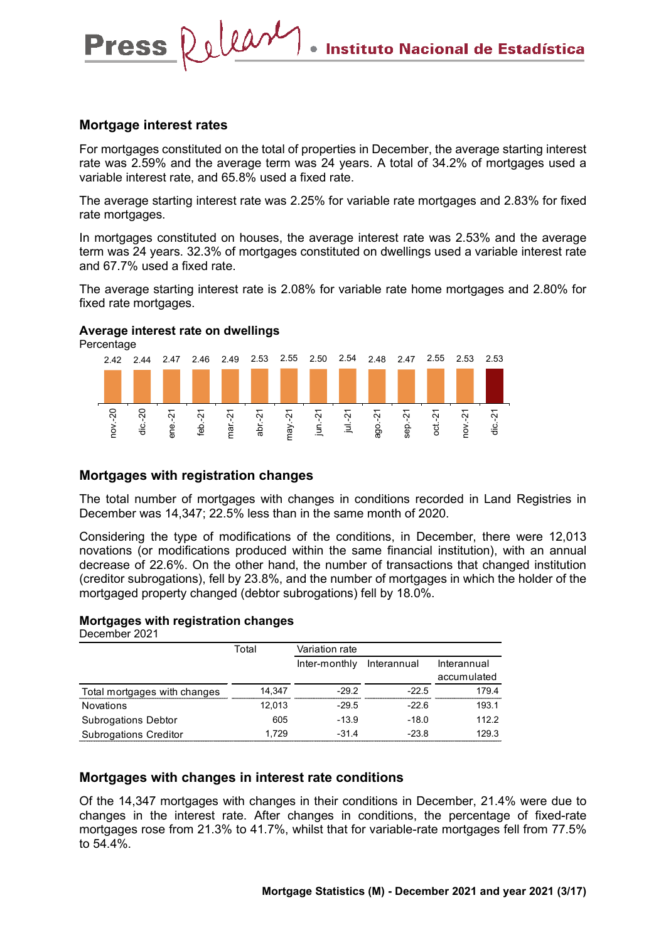#### **Mortgage interest rates**

**Press** 

Release

For mortgages constituted on the total of properties in December, the average starting interest rate was 2.59% and the average term was 24 years. A total of 34.2% of mortgages used a variable interest rate, and 65.8% used a fixed rate.

The average starting interest rate was 2.25% for variable rate mortgages and 2.83% for fixed rate mortgages.

In mortgages constituted on houses, the average interest rate was 2.53% and the average term was 24 years. 32.3% of mortgages constituted on dwellings used a variable interest rate and 67.7% used a fixed rate.

The average starting interest rate is 2.08% for variable rate home mortgages and 2.80% for fixed rate mortgages.

#### **Average interest rate on dwellings**

Percentage



## **Mortgages with registration changes**

The total number of mortgages with changes in conditions recorded in Land Registries in December was 14,347; 22.5% less than in the same month of 2020.

Considering the type of modifications of the conditions, in December, there were 12,013 novations (or modifications produced within the same financial institution), with an annual decrease of 22.6%. On the other hand, the number of transactions that changed institution (creditor subrogations), fell by 23.8%, and the number of mortgages in which the holder of the mortgaged property changed (debtor subrogations) fell by 18.0%.

#### **Mortgages with registration changes**

December 2021

|                              | Total  | Variation rate |             |             |
|------------------------------|--------|----------------|-------------|-------------|
|                              |        | Inter-monthly  | Interannual | Interannual |
|                              |        |                |             | accumulated |
| Total mortgages with changes | 14.347 | $-29.2$        | $-22.5$     | 179.4       |
| <b>Novations</b>             | 12,013 | $-29.5$        | $-22.6$     | 193.1       |
| <b>Subrogations Debtor</b>   | 605    | $-13.9$        | $-18.0$     | 112.2       |
| <b>Subrogations Creditor</b> | 1.729  | $-31.4$        | $-23.8$     | 129.3       |

## **Mortgages with changes in interest rate conditions**

Of the 14,347 mortgages with changes in their conditions in December, 21.4% were due to changes in the interest rate. After changes in conditions, the percentage of fixed-rate mortgages rose from 21.3% to 41.7%, whilst that for variable-rate mortgages fell from 77.5% to 54.4%.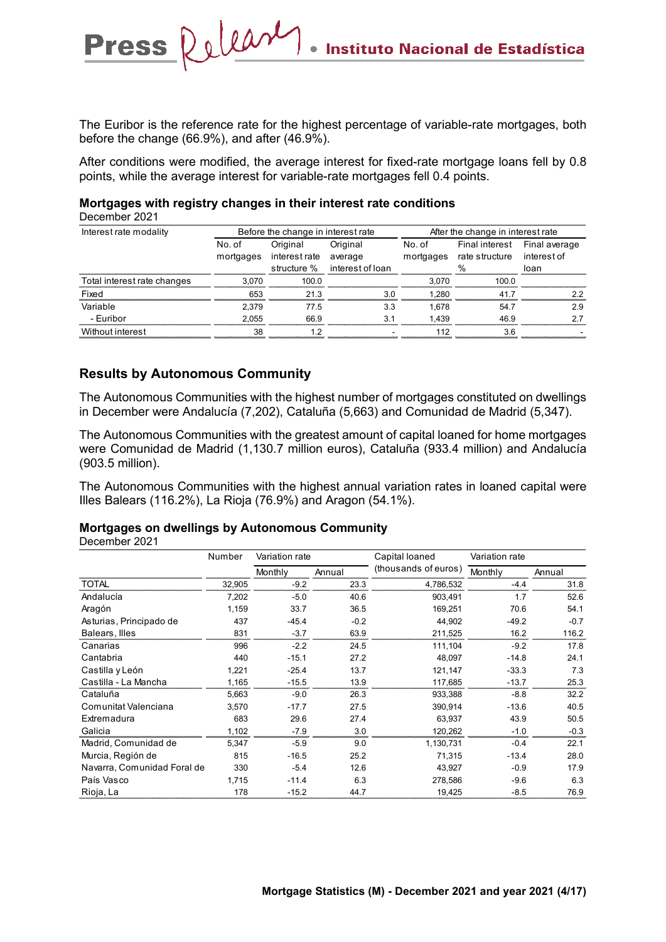The Euribor is the reference rate for the highest percentage of variable-rate mortgages, both before the change (66.9%), and after (46.9%).

After conditions were modified, the average interest for fixed-rate mortgage loans fell by 0.8 points, while the average interest for variable-rate mortgages fell 0.4 points.

#### **Mortgages with registry changes in their interest rate conditions**

December 2021

| Interest rate modality      |                     | Before the change in interest rate |                     | After the change in interest rate |                                  |                              |  |
|-----------------------------|---------------------|------------------------------------|---------------------|-----------------------------------|----------------------------------|------------------------------|--|
|                             | No. of<br>mortgages | Original<br>interest rate          | Original<br>average | No. of<br>mortgages               | Final interest<br>rate structure | Final average<br>interest of |  |
|                             |                     | structure %                        | interest of loan    |                                   | %                                | loan                         |  |
| Total interest rate changes | 3.070               | 100.0                              |                     | 3.070                             | 100.0                            |                              |  |
| Fixed                       | 653                 | 21.3                               | 3 O                 | 1.280                             | 41.7                             | 22                           |  |
| Variable                    | 2.379               | 77.5                               | 3.3                 | 1.678                             | 54.7                             | 2.9                          |  |
| - Euribor                   | 2.055               | 66.9                               | 31                  | 1.439                             | 46.9                             | 27                           |  |
| Without interest            | 38                  | 12                                 |                     | 112                               | 36                               |                              |  |

## **Results by Autonomous Community**

Press Releary

The Autonomous Communities with the highest number of mortgages constituted on dwellings in December were Andalucía (7,202), Cataluña (5,663) and Comunidad de Madrid (5,347).

The Autonomous Communities with the greatest amount of capital loaned for home mortgages were Comunidad de Madrid (1,130.7 million euros), Cataluña (933.4 million) and Andalucía (903.5 million).

The Autonomous Communities with the highest annual variation rates in loaned capital were Illes Balears (116.2%), La Rioja (76.9%) and Aragon (54.1%).

#### **Mortgages on dwellings by Autonomous Community**

December 2021

|                             | Number | Variation rate |        | Capital loaned       | Variation rate |        |
|-----------------------------|--------|----------------|--------|----------------------|----------------|--------|
|                             |        | Monthly        | Annual | (thousands of euros) | Monthly        | Annual |
| <b>TOTAL</b>                | 32,905 | $-9.2$         | 23.3   | 4,786,532            | $-4.4$         | 31.8   |
| Andalucía                   | 7,202  | $-5.0$         | 40.6   | 903,491              | 1.7            | 52.6   |
| Aragón                      | 1,159  | 33.7           | 36.5   | 169,251              | 70.6           | 54.1   |
| Asturias, Principado de     | 437    | $-45.4$        | $-0.2$ | 44,902               | $-49.2$        | $-0.7$ |
| Balears, Illes              | 831    | $-3.7$         | 63.9   | 211,525              | 16.2           | 116.2  |
| Canarias                    | 996    | $-2.2$         | 24.5   | 111,104              | $-9.2$         | 17.8   |
| Cantabria                   | 440    | $-15.1$        | 27.2   | 48,097               | $-14.8$        | 24.1   |
| Castilla y León             | 1,221  | $-25.4$        | 13.7   | 121,147              | $-33.3$        | 7.3    |
| Castilla - La Mancha        | 1,165  | $-15.5$        | 13.9   | 117,685              | $-13.7$        | 25.3   |
| Cataluña                    | 5,663  | $-9.0$         | 26.3   | 933,388              | $-8.8$         | 32.2   |
| Comunitat Valenciana        | 3,570  | $-17.7$        | 27.5   | 390,914              | $-13.6$        | 40.5   |
| Extremadura                 | 683    | 29.6           | 27.4   | 63.937               | 43.9           | 50.5   |
| Galicia                     | 1,102  | $-7.9$         | 3.0    | 120,262              | $-1.0$         | $-0.3$ |
| Madrid, Comunidad de        | 5,347  | $-5.9$         | 9.0    | 1,130,731            | $-0.4$         | 22.1   |
| Murcia, Región de           | 815    | $-16.5$        | 25.2   | 71.315               | $-13.4$        | 28.0   |
| Navarra, Comunidad Foral de | 330    | $-5.4$         | 12.6   | 43,927               | $-0.9$         | 17.9   |
| País Vasco                  | 1,715  | $-11.4$        | 6.3    | 278,586              | $-9.6$         | 6.3    |
| Rioja, La                   | 178    | $-15.2$        | 44.7   | 19,425               | $-8.5$         | 76.9   |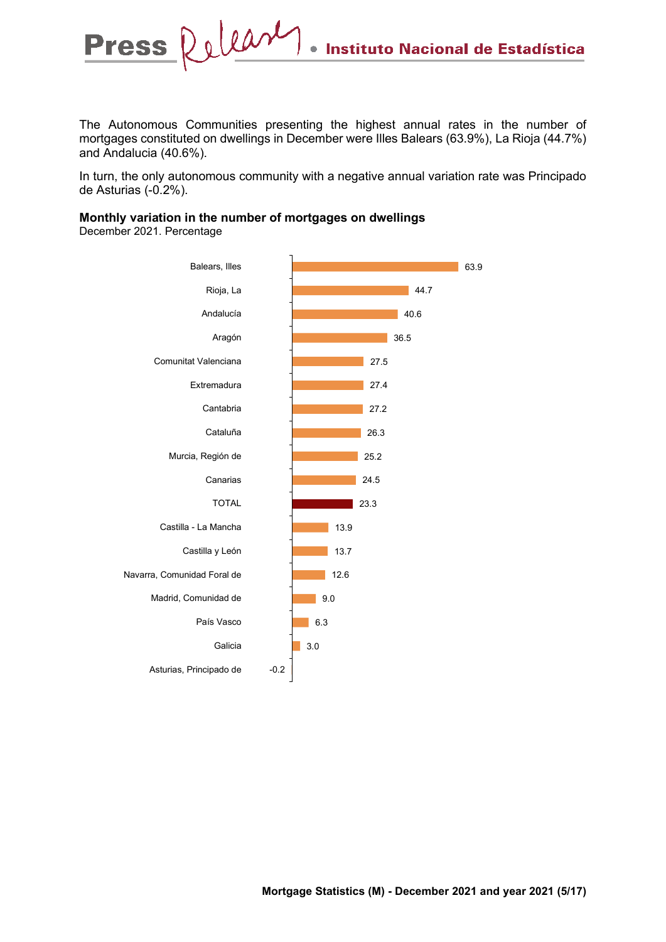The Autonomous Communities presenting the highest annual rates in the number of mortgages constituted on dwellings in December were Illes Balears (63.9%), La Rioja (44.7%) and Andalucia (40.6%).

In turn, the only autonomous community with a negative annual variation rate was Principado de Asturias (-0.2%).

#### **Monthly variation in the number of mortgages on dwellings**

December 2021. Percentage

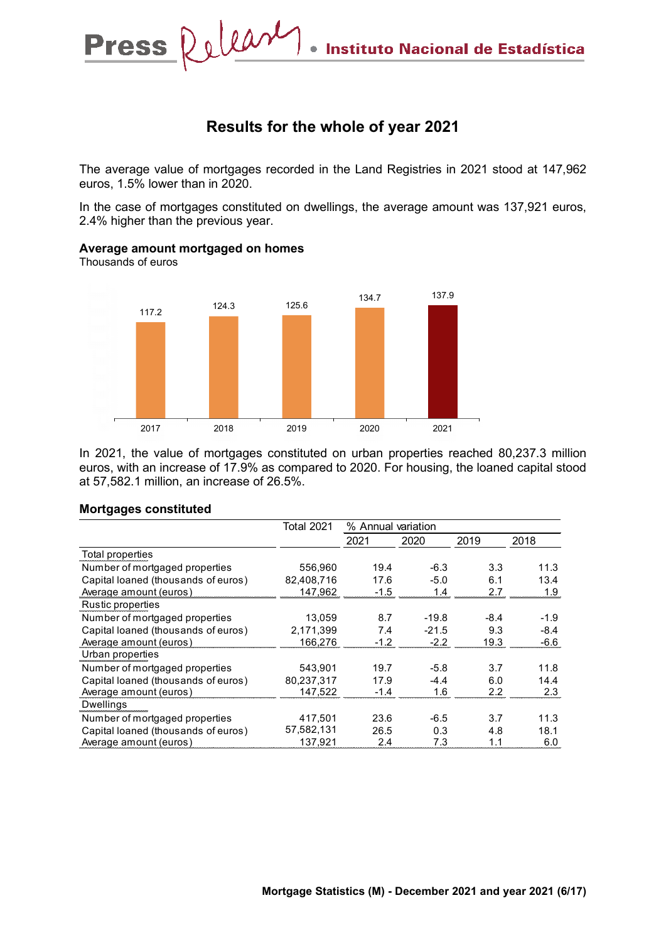## **Results for the whole of year 2021**

The average value of mortgages recorded in the Land Registries in 2021 stood at 147,962 euros, 1.5% lower than in 2020.

In the case of mortgages constituted on dwellings, the average amount was 137,921 euros, 2.4% higher than the previous year.



In 2021, the value of mortgages constituted on urban properties reached 80,237.3 million euros, with an increase of 17.9% as compared to 2020. For housing, the loaned capital stood at 57,582.1 million, an increase of 26.5%.

#### **Mortgages constituted**

**Average amount mortgaged on homes**

Thousands of euros

|                                     | <b>Total 2021</b> | % Annual variation |         |        |        |
|-------------------------------------|-------------------|--------------------|---------|--------|--------|
|                                     |                   | 2021               | 2020    | 2019   | 2018   |
| Total properties                    |                   |                    |         |        |        |
| Number of mortgaged properties      | 556.960           | 19.4               | $-6.3$  | 3.3    | 11.3   |
| Capital loaned (thousands of euros) | 82.408.716        | 17.6               | $-5.0$  | 6.1    | 13.4   |
| Average amount (euros)              | 147,962           | $-1.5$             | 1.4     | 2.7    | 1.9    |
| Rustic properties                   |                   |                    |         |        |        |
| Number of mortgaged properties      | 13.059            | 8.7                | $-19.8$ | $-8.4$ | $-1.9$ |
| Capital loaned (thousands of euros) | 2.171.399         | 7.4                | $-21.5$ | 9.3    | $-8.4$ |
| Average amount (euros)              | 166.276           | $-1.2$             | $-2.2$  | 19.3   | $-6.6$ |
| Urban properties                    |                   |                    |         |        |        |
| Number of mortgaged properties      | 543.901           | 19.7               | $-5.8$  | 3.7    | 11.8   |
| Capital loaned (thousands of euros) | 80.237.317        | 17.9               | $-44$   | 6.0    | 14.4   |
| Average amount (euros)              | 147.522           | $-1.4$             | 1.6     | 2.2    | 2.3    |
| <b>Dwellings</b>                    |                   |                    |         |        |        |
| Number of mortgaged properties      | 417.501           | 23.6               | -6.5    | 3.7    | 11.3   |
| Capital loaned (thousands of euros) | 57,582,131        | 26.5               | 0.3     | 4.8    | 18.1   |
| Average amount (euros)              | 137.921           | 2.4                | 7.3     | 1.1    | 6.0    |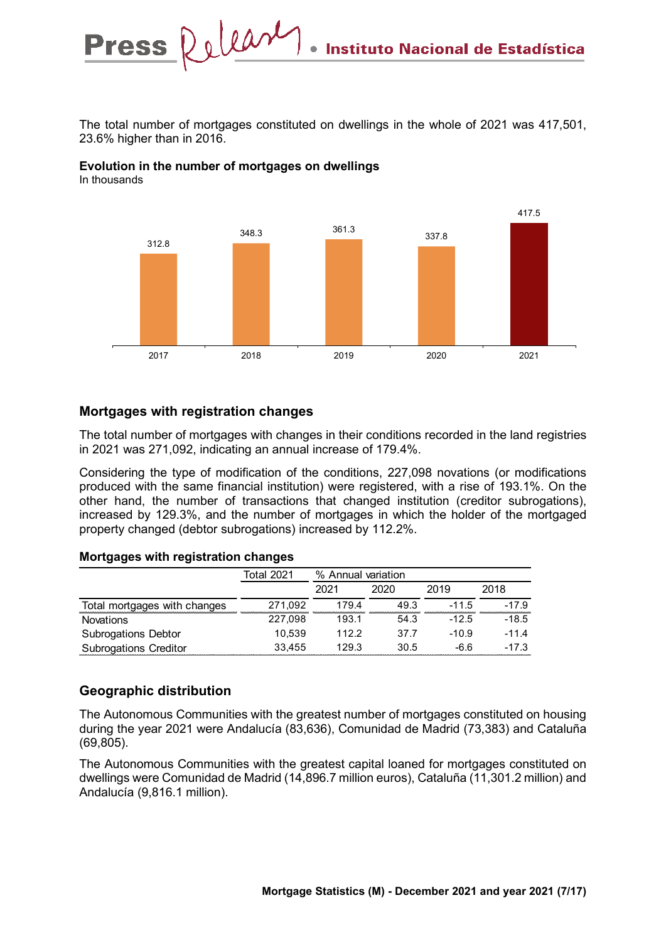The total number of mortgages constituted on dwellings in the whole of 2021 was 417,501, 23.6% higher than in 2016.

#### **Evolution in the number of mortgages on dwellings**  In thousands



## **Mortgages with registration changes**

The total number of mortgages with changes in their conditions recorded in the land registries in 2021 was 271,092, indicating an annual increase of 179.4%.

Considering the type of modification of the conditions, 227,098 novations (or modifications produced with the same financial institution) were registered, with a rise of 193.1%. On the other hand, the number of transactions that changed institution (creditor subrogations), increased by 129.3%, and the number of mortgages in which the holder of the mortgaged property changed (debtor subrogations) increased by 112.2%.

#### **Mortgages with registration changes**

|                              | <b>Total 2021</b> | % Annual variation |      |         |         |  |
|------------------------------|-------------------|--------------------|------|---------|---------|--|
|                              |                   | 2021               | 2020 | 2019    | 2018    |  |
| Total mortgages with changes | 271,092           | 179.4              | 49.3 | $-11.5$ | $-17.9$ |  |
| <b>Novations</b>             | 227.098           | 193.1              | 54.3 | $-12.5$ | $-18.5$ |  |
| <b>Subrogations Debtor</b>   | 10.539            | 112.2              | 37.7 | $-10.9$ | $-11.4$ |  |
| <b>Subrogations Creditor</b> | 33.455            | 129.3              | 30.5 | -6.6    | $-17.3$ |  |

## **Geographic distribution**

The Autonomous Communities with the greatest number of mortgages constituted on housing during the year 2021 were Andalucía (83,636), Comunidad de Madrid (73,383) and Cataluña (69,805).

The Autonomous Communities with the greatest capital loaned for mortgages constituted on dwellings were Comunidad de Madrid (14,896.7 million euros), Cataluña (11,301.2 million) and Andalucía (9,816.1 million).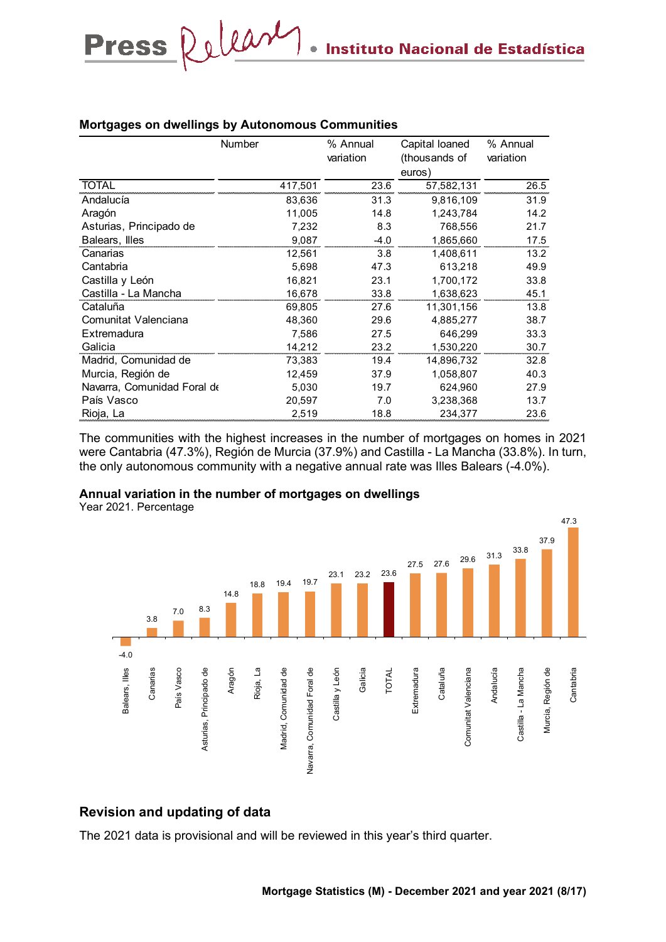|                             | Number  | % Annual<br>variation | Capital loaned<br>(thousands of<br>euros) | % Annual<br>variation |
|-----------------------------|---------|-----------------------|-------------------------------------------|-----------------------|
| <b>TOTAL</b>                | 417,501 | 23.6                  | 57,582,131                                | 26.5                  |
| Andalucía                   | 83,636  | 31.3                  | 9.816.109                                 | 31.9                  |
| Aragón                      | 11,005  | 14.8                  | 1,243,784                                 | 14.2                  |
| Asturias, Principado de     | 7,232   | 8.3                   | 768,556                                   | 21.7                  |
| Balears, Illes              | 9,087   | $-4.0$                | 1,865,660                                 | 17.5                  |
| Canarias                    | 12,561  | 3.8                   | 1,408,611                                 | 13.2                  |
| Cantabria                   | 5,698   | 47.3                  | 613,218                                   | 49.9                  |
| Castilla y León             | 16,821  | 23.1                  | 1,700,172                                 | 33.8                  |
| Castilla - La Mancha        | 16,678  | 33.8                  | 1,638,623                                 | 45.1                  |
| Cataluña                    | 69,805  | 27.6                  | 11,301,156                                | 13.8                  |
| Comunitat Valenciana        | 48,360  | 29.6                  | 4,885,277                                 | 38.7                  |
| Extremadura                 | 7,586   | 27.5                  | 646,299                                   | 33.3                  |
| Galicia                     | 14,212  | 23.2                  | 1,530,220                                 | 30.7                  |
| Madrid, Comunidad de        | 73,383  | 19.4                  | 14,896,732                                | 32.8                  |
| Murcia, Región de           | 12,459  | 37.9                  | 1,058,807                                 | 40.3                  |
| Navarra, Comunidad Foral de | 5,030   | 19.7                  | 624,960                                   | 27.9                  |
| País Vasco                  | 20,597  | 7.0                   | 3,238,368                                 | 13.7                  |
| Rioja, La                   | 2,519   | 18.8                  | 234,377                                   | 23.6                  |

#### **Mortgages on dwellings by Autonomous Communities**

Press Relear

The communities with the highest increases in the number of mortgages on homes in 2021 were Cantabria (47.3%), Región de Murcia (37.9%) and Castilla - La Mancha (33.8%). In turn, the only autonomous community with a negative annual rate was Illes Balears (-4.0%).

#### **Annual variation in the number of mortgages on dwellings**

Year 2021. Percentage



## **Revision and updating of data**

The 2021 data is provisional and will be reviewed in this year's third quarter.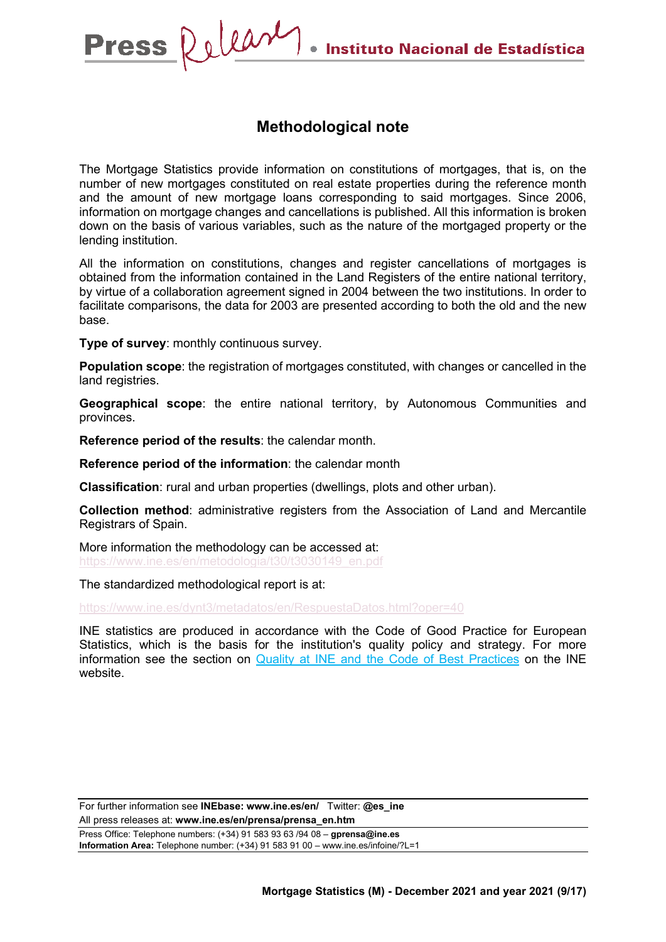## **Methodological note**

The Mortgage Statistics provide information on constitutions of mortgages, that is, on the number of new mortgages constituted on real estate properties during the reference month and the amount of new mortgage loans corresponding to said mortgages. Since 2006, information on mortgage changes and cancellations is published. All this information is broken down on the basis of various variables, such as the nature of the mortgaged property or the lending institution.

All the information on constitutions, changes and register cancellations of mortgages is obtained from the information contained in the Land Registers of the entire national territory, by virtue of a collaboration agreement signed in 2004 between the two institutions. In order to facilitate comparisons, the data for 2003 are presented according to both the old and the new base.

**Type of survey**: monthly continuous survey.

**Population scope**: the registration of mortgages constituted, with changes or cancelled in the land registries.

**Geographical scope**: the entire national territory, by Autonomous Communities and provinces.

**Reference period of the results**: the calendar month.

**Reference period of the information**: the calendar month

**Classification**: rural and urban properties (dwellings, plots and other urban).

**Collection method**: administrative registers from the Association of Land and Mercantile Registrars of Spain.

More information the methodology can be accessed at: [https://www.ine.es/en/metodologia/t30/t3030149\\_en.pdf](https://www.ine.es/en/metodologia/t30/t3030149_en.pdf)

The standardized methodological report is at:

https://www.ine.es/dynt3/metadatos/en/RespuestaDatos.html?oper=40

INE statistics are produced in accordance with the Code of Good Practice for European Statistics, which is the basis for the institution's quality policy and strategy. For more information see the section on [Quality at INE and the Code of Best Practices](https://www.ine.es/ss/Satellite?L=es_ES&c=Page&cid=1259943453642&p=1259943453642&pagename=MetodologiaYEstandares/INELayout) on the INE website.

For further information see **INEbase: www.ine.es/en/** Twitter: **@es\_ine** All press releases at: **www.ine.es/en/prensa/prensa\_en.htm** Press Office: Telephone numbers: (+34) 91 583 93 63 /94 08 – **gprensa@ine.es Information Area:** Telephone number: (+34) 91 583 91 00 – www.ine.es/infoine/?L=1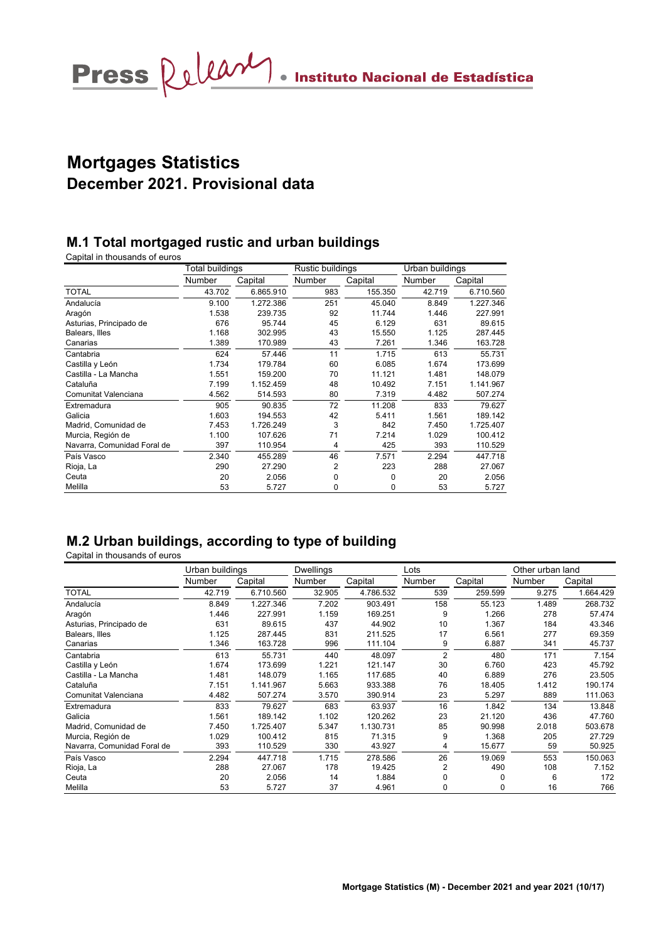# **Mortgages Statistics December 2021. Provisional data**

## **M.1 Total mortgaged rustic and urban buildings**

Capital in thousands of euros

|                             | Total buildings |           | Rustic buildings |         | Urban buildings |           |
|-----------------------------|-----------------|-----------|------------------|---------|-----------------|-----------|
|                             | Number          | Capital   | Number           | Capital | Number          | Capital   |
| <b>TOTAL</b>                | 43.702          | 6.865.910 | 983              | 155.350 | 42.719          | 6.710.560 |
| Andalucía                   | 9.100           | 1.272.386 | 251              | 45.040  | 8.849           | 1.227.346 |
| Aragón                      | 1.538           | 239.735   | 92               | 11.744  | 1.446           | 227.991   |
| Asturias, Principado de     | 676             | 95.744    | 45               | 6.129   | 631             | 89.615    |
| Balears, Illes              | 1.168           | 302.995   | 43               | 15.550  | 1.125           | 287.445   |
| Canarias                    | 1.389           | 170.989   | 43               | 7.261   | 1.346           | 163.728   |
| Cantabria                   | 624             | 57.446    | 11               | 1.715   | 613             | 55.731    |
| Castilla y León             | 1.734           | 179.784   | 60               | 6.085   | 1.674           | 173.699   |
| Castilla - La Mancha        | 1.551           | 159.200   | 70               | 11.121  | 1.481           | 148.079   |
| Cataluña                    | 7.199           | 1.152.459 | 48               | 10.492  | 7.151           | 1.141.967 |
| Comunitat Valenciana        | 4.562           | 514.593   | 80               | 7.319   | 4.482           | 507.274   |
| Extremadura                 | 905             | 90.835    | 72               | 11.208  | 833             | 79.627    |
| Galicia                     | 1.603           | 194.553   | 42               | 5.411   | 1.561           | 189.142   |
| Madrid, Comunidad de        | 7.453           | 1.726.249 | 3                | 842     | 7.450           | 1.725.407 |
| Murcia, Región de           | 1.100           | 107.626   | 71               | 7.214   | 1.029           | 100.412   |
| Navarra, Comunidad Foral de | 397             | 110.954   | 4                | 425     | 393             | 110.529   |
| País Vasco                  | 2.340           | 455.289   | 46               | 7.571   | 2.294           | 447.718   |
| Rioja, La                   | 290             | 27.290    | $\overline{2}$   | 223     | 288             | 27.067    |
| Ceuta                       | 20              | 2.056     | 0                | 0       | 20              | 2.056     |
| Melilla                     | 53              | 5.727     | 0                | 0       | 53              | 5.727     |

## **M.2 Urban buildings, according to type of building**

|                             | Urban buildings |           | Dwellings |           | Lots           |         | Other urban land |           |
|-----------------------------|-----------------|-----------|-----------|-----------|----------------|---------|------------------|-----------|
|                             | Number          | Capital   | Number    | Capital   | Number         | Capital | Number           | Capital   |
| <b>TOTAL</b>                | 42.719          | 6.710.560 | 32.905    | 4.786.532 | 539            | 259.599 | 9.275            | 1.664.429 |
| Andalucía                   | 8.849           | 1.227.346 | 7.202     | 903.491   | 158            | 55.123  | 1.489            | 268.732   |
| Aragón                      | 1.446           | 227.991   | 1.159     | 169.251   | 9              | 1.266   | 278              | 57.474    |
| Asturias, Principado de     | 631             | 89.615    | 437       | 44.902    | 10             | 1.367   | 184              | 43.346    |
| Balears, Illes              | 1.125           | 287.445   | 831       | 211.525   | 17             | 6.561   | 277              | 69.359    |
| Canarias                    | 1.346           | 163.728   | 996       | 111.104   | 9              | 6.887   | 341              | 45.737    |
| Cantabria                   | 613             | 55.731    | 440       | 48.097    | $\overline{2}$ | 480     | 171              | 7.154     |
| Castilla y León             | 1.674           | 173.699   | 1.221     | 121.147   | 30             | 6.760   | 423              | 45.792    |
| Castilla - La Mancha        | 1.481           | 148.079   | 1.165     | 117.685   | 40             | 6.889   | 276              | 23.505    |
| Cataluña                    | 7.151           | 1.141.967 | 5.663     | 933.388   | 76             | 18.405  | 1.412            | 190.174   |
| Comunitat Valenciana        | 4.482           | 507.274   | 3.570     | 390.914   | 23             | 5.297   | 889              | 111.063   |
| Extremadura                 | 833             | 79.627    | 683       | 63.937    | 16             | 1.842   | 134              | 13.848    |
| Galicia                     | 1.561           | 189.142   | 1.102     | 120.262   | 23             | 21.120  | 436              | 47.760    |
| Madrid, Comunidad de        | 7.450           | 1.725.407 | 5.347     | 1.130.731 | 85             | 90.998  | 2.018            | 503.678   |
| Murcia, Región de           | 1.029           | 100.412   | 815       | 71.315    | 9              | 1.368   | 205              | 27.729    |
| Navarra, Comunidad Foral de | 393             | 110.529   | 330       | 43.927    | 4              | 15.677  | 59               | 50.925    |
| País Vasco                  | 2.294           | 447.718   | 1.715     | 278.586   | 26             | 19.069  | 553              | 150.063   |
| Rioja, La                   | 288             | 27.067    | 178       | 19.425    | 2              | 490     | 108              | 7.152     |
| Ceuta                       | 20              | 2.056     | 14        | 1.884     | 0              | 0       | 6                | 172       |
| Melilla                     | 53              | 5.727     | 37        | 4.961     | 0              | 0       | 16               | 766       |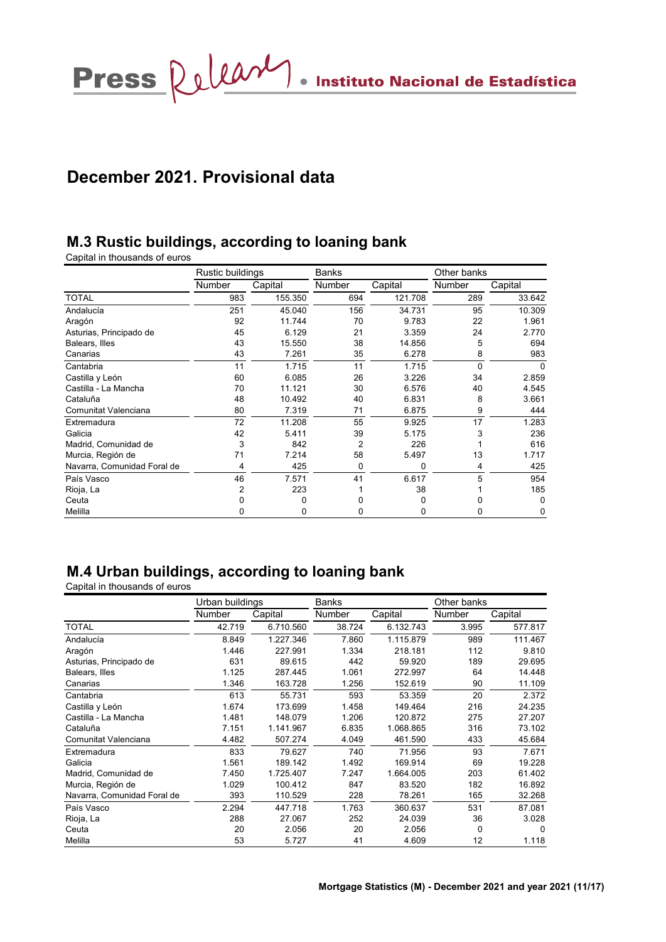Press  $\bigotimes \bigcup \bigcup \bigotimes \mathcal{M}$  . Instituto Nacional de Estadística

# **December 2021. Provisional data**

## **M.3 Rustic buildings, according to loaning bank**

Capital in thousands of euros

|                             | Rustic buildings |         | <b>Banks</b> |         |          | Other banks |
|-----------------------------|------------------|---------|--------------|---------|----------|-------------|
|                             | Number           | Capital | Number       | Capital | Number   | Capital     |
| <b>TOTAL</b>                | 983              | 155.350 | 694          | 121.708 | 289      | 33.642      |
| Andalucía                   | 251              | 45.040  | 156          | 34.731  | 95       | 10.309      |
| Aragón                      | 92               | 11.744  | 70           | 9.783   | 22       | 1.961       |
| Asturias, Principado de     | 45               | 6.129   | 21           | 3.359   | 24       | 2.770       |
| Balears, Illes              | 43               | 15.550  | 38           | 14.856  | 5        | 694         |
| Canarias                    | 43               | 7.261   | 35           | 6.278   | 8        | 983         |
| Cantabria                   | 11               | 1.715   | 11           | 1.715   | $\Omega$ | 0           |
| Castilla y León             | 60               | 6.085   | 26           | 3.226   | 34       | 2.859       |
| Castilla - La Mancha        | 70               | 11.121  | 30           | 6.576   | 40       | 4.545       |
| Cataluña                    | 48               | 10.492  | 40           | 6.831   | 8        | 3.661       |
| Comunitat Valenciana        | 80               | 7.319   | 71           | 6.875   | 9        | 444         |
| Extremadura                 | 72               | 11.208  | 55           | 9.925   | 17       | 1.283       |
| Galicia                     | 42               | 5.411   | 39           | 5.175   | 3        | 236         |
| Madrid, Comunidad de        | 3                | 842     | 2            | 226     |          | 616         |
| Murcia, Región de           | 71               | 7.214   | 58           | 5.497   | 13       | 1.717       |
| Navarra, Comunidad Foral de | 4                | 425     | 0            | 0       | 4        | 425         |
| País Vasco                  | 46               | 7.571   | 41           | 6.617   | 5        | 954         |
| Rioja, La                   | 2                | 223     |              | 38      |          | 185         |
| Ceuta                       |                  | 0       | 0            | 0       | n        | 0           |
| Melilla                     | ი                | 0       | 0            | 0       | 0        | 0           |

## **M.4 Urban buildings, according to loaning bank**

|                             | Urban buildings |           | Banks  |           | Other banks |         |
|-----------------------------|-----------------|-----------|--------|-----------|-------------|---------|
|                             | Number          | Capital   | Number | Capital   | Number      | Capital |
| <b>TOTAL</b>                | 42.719          | 6.710.560 | 38.724 | 6.132.743 | 3.995       | 577.817 |
| Andalucía                   | 8.849           | 1.227.346 | 7.860  | 1.115.879 | 989         | 111.467 |
| Aragón                      | 1.446           | 227.991   | 1.334  | 218.181   | 112         | 9.810   |
| Asturias, Principado de     | 631             | 89.615    | 442    | 59.920    | 189         | 29.695  |
| Balears, Illes              | 1.125           | 287.445   | 1.061  | 272.997   | 64          | 14.448  |
| Canarias                    | 1.346           | 163.728   | 1.256  | 152.619   | 90          | 11.109  |
| Cantabria                   | 613             | 55.731    | 593    | 53.359    | 20          | 2.372   |
| Castilla y León             | 1.674           | 173.699   | 1.458  | 149.464   | 216         | 24.235  |
| Castilla - La Mancha        | 1.481           | 148.079   | 1.206  | 120.872   | 275         | 27.207  |
| Cataluña                    | 7.151           | 1.141.967 | 6.835  | 1.068.865 | 316         | 73.102  |
| Comunitat Valenciana        | 4.482           | 507.274   | 4.049  | 461.590   | 433         | 45.684  |
| Extremadura                 | 833             | 79.627    | 740    | 71.956    | 93          | 7.671   |
| Galicia                     | 1.561           | 189.142   | 1.492  | 169.914   | 69          | 19.228  |
| Madrid, Comunidad de        | 7.450           | 1.725.407 | 7.247  | 1.664.005 | 203         | 61.402  |
| Murcia, Región de           | 1.029           | 100.412   | 847    | 83.520    | 182         | 16.892  |
| Navarra, Comunidad Foral de | 393             | 110.529   | 228    | 78.261    | 165         | 32.268  |
| País Vasco                  | 2.294           | 447.718   | 1.763  | 360.637   | 531         | 87.081  |
| Rioja, La                   | 288             | 27.067    | 252    | 24.039    | 36          | 3.028   |
| Ceuta                       | 20              | 2.056     | 20     | 2.056     | 0           | 0       |
| Melilla                     | 53              | 5.727     | 41     | 4.609     | 12          | 1.118   |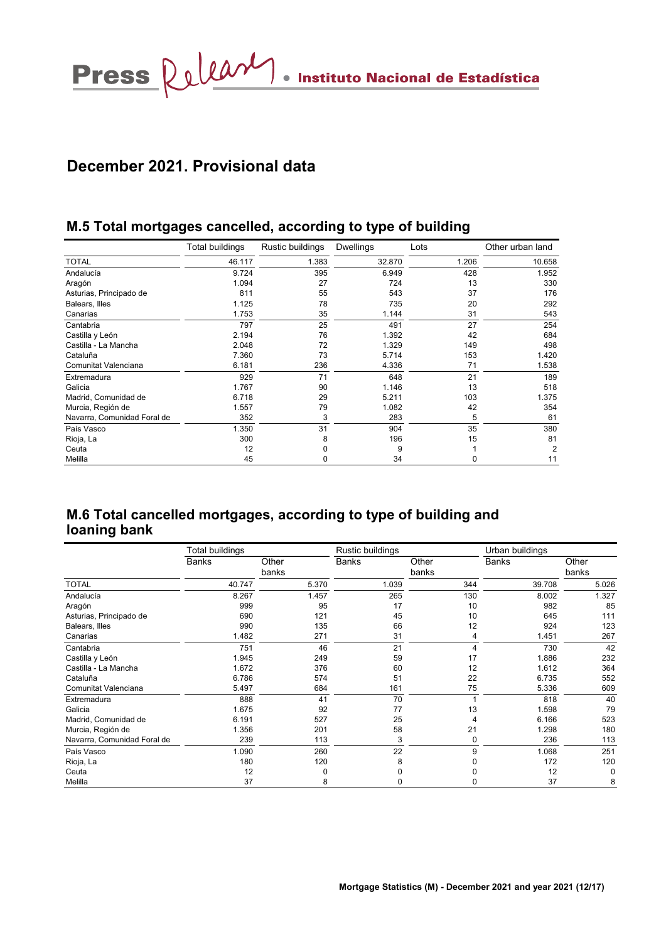## **December 2021. Provisional data**

## **M.5 Total mortgages cancelled, according to type of building**

|                             | Total buildings | Rustic buildings | <b>Dwellings</b> | Lots  | Other urban land |
|-----------------------------|-----------------|------------------|------------------|-------|------------------|
| <b>TOTAL</b>                | 46.117          | 1.383            | 32.870           | 1.206 | 10.658           |
| Andalucía                   | 9.724           | 395              | 6.949            | 428   | 1.952            |
| Aragón                      | 1.094           | 27               | 724              | 13    | 330              |
| Asturias, Principado de     | 811             | 55               | 543              | 37    | 176              |
| Balears, Illes              | 1.125           | 78               | 735              | 20    | 292              |
| Canarias                    | 1.753           | 35               | 1.144            | 31    | 543              |
| Cantabria                   | 797             | 25               | 491              | 27    | 254              |
| Castilla y León             | 2.194           | 76               | 1.392            | 42    | 684              |
| Castilla - La Mancha        | 2.048           | 72               | 1.329            | 149   | 498              |
| Cataluña                    | 7.360           | 73               | 5.714            | 153   | 1.420            |
| Comunitat Valenciana        | 6.181           | 236              | 4.336            | 71    | 1.538            |
| Extremadura                 | 929             | 71               | 648              | 21    | 189              |
| Galicia                     | 1.767           | 90               | 1.146            | 13    | 518              |
| Madrid, Comunidad de        | 6.718           | 29               | 5.211            | 103   | 1.375            |
| Murcia, Región de           | 1.557           | 79               | 1.082            | 42    | 354              |
| Navarra, Comunidad Foral de | 352             | 3                | 283              | 5     | 61               |
| País Vasco                  | 1.350           | 31               | 904              | 35    | 380              |
| Rioja, La                   | 300             | 8                | 196              | 15    | 81               |
| Ceuta                       | 12              | O                | 9                |       | 2                |
| Melilla                     | 45              | 0                | 34               | 0     | 11               |

## **M.6 Total cancelled mortgages, according to type of building and loaning bank**

|                             | Total buildings |                | Rustic buildings |                | Urban buildings |                |  |
|-----------------------------|-----------------|----------------|------------------|----------------|-----------------|----------------|--|
|                             | Banks           | Other<br>banks | <b>Banks</b>     | Other<br>banks | <b>Banks</b>    | Other<br>banks |  |
| <b>TOTAL</b>                | 40.747          | 5.370          | 1.039            | 344            | 39.708          | 5.026          |  |
| Andalucía                   | 8.267           | 1.457          | 265              | 130            | 8.002           | 1.327          |  |
| Aragón                      | 999             | 95             | 17               | 10             | 982             | 85             |  |
| Asturias, Principado de     | 690             | 121            | 45               | 10             | 645             | 111            |  |
| Balears, Illes              | 990             | 135            | 66               | 12             | 924             | 123            |  |
| Canarias                    | 1.482           | 271            | 31               | 4              | 1.451           | 267            |  |
| Cantabria                   | 751             | 46             | 21               | 4              | 730             | 42             |  |
| Castilla y León             | 1.945           | 249            | 59               | 17             | 1.886           | 232            |  |
| Castilla - La Mancha        | 1.672           | 376            | 60               | 12             | 1.612           | 364            |  |
| Cataluña                    | 6.786           | 574            | 51               | 22             | 6.735           | 552            |  |
| Comunitat Valenciana        | 5.497           | 684            | 161              | 75             | 5.336           | 609            |  |
| Extremadura                 | 888             | 41             | 70               |                | 818             | 40             |  |
| Galicia                     | 1.675           | 92             | 77               | 13             | 1.598           | 79             |  |
| Madrid, Comunidad de        | 6.191           | 527            | 25               |                | 6.166           | 523            |  |
| Murcia, Región de           | 1.356           | 201            | 58               | 21             | 1.298           | 180            |  |
| Navarra, Comunidad Foral de | 239             | 113            | 3                | 0              | 236             | 113            |  |
| País Vasco                  | 1.090           | 260            | 22               | 9              | 1.068           | 251            |  |
| Rioja, La                   | 180             | 120            | 8                |                | 172             | 120            |  |
| Ceuta                       | 12              |                |                  |                | 12              | 0              |  |
| Melilla                     | 37              | 8              |                  | 0              | 37              | 8              |  |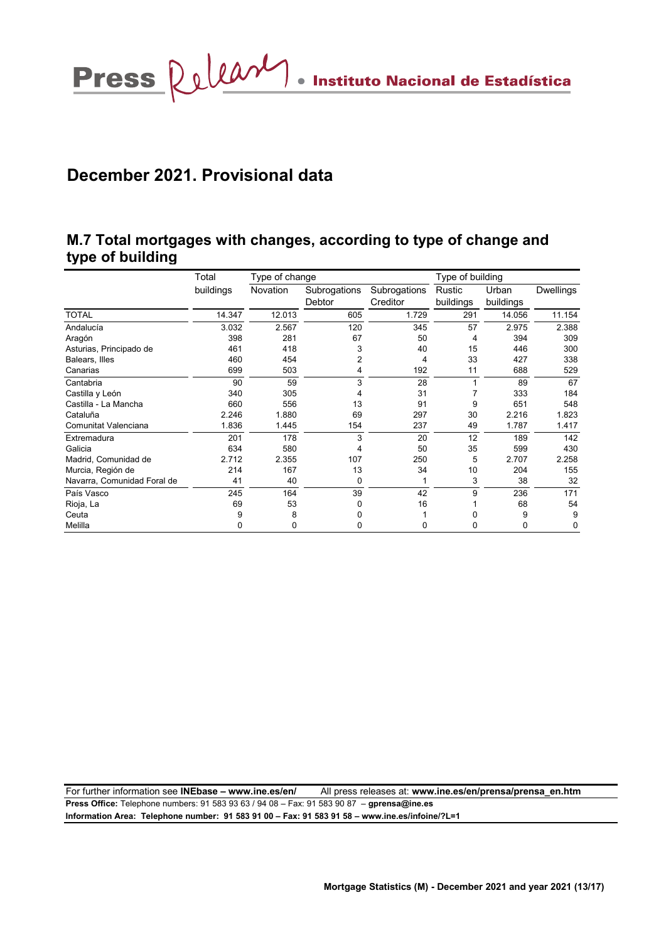Press  $\Omega$ 

## **December 2021. Provisional data**

## **M.7 Total mortgages with changes, according to type of change and type of building**

|                             | Total     | Type of change |              |              | Type of building |           |                  |
|-----------------------------|-----------|----------------|--------------|--------------|------------------|-----------|------------------|
|                             | buildings | Novation       | Subrogations | Subrogations | Rustic           | Urban     | <b>Dwellings</b> |
|                             |           |                | Debtor       | Creditor     | buildings        | buildings |                  |
| <b>TOTAL</b>                | 14.347    | 12.013         | 605          | 1.729        | 291              | 14.056    | 11.154           |
| Andalucía                   | 3.032     | 2.567          | 120          | 345          | 57               | 2.975     | 2.388            |
| Aragón                      | 398       | 281            | 67           | 50           | 4                | 394       | 309              |
| Asturias, Principado de     | 461       | 418            | 3            | 40           | 15               | 446       | 300              |
| Balears, Illes              | 460       | 454            | 2            | 4            | 33               | 427       | 338              |
| Canarias                    | 699       | 503            | 4            | 192          | 11               | 688       | 529              |
| Cantabria                   | 90        | 59             | 3            | 28           |                  | 89        | 67               |
| Castilla y León             | 340       | 305            |              | 31           |                  | 333       | 184              |
| Castilla - La Mancha        | 660       | 556            | 13           | 91           | 9                | 651       | 548              |
| Cataluña                    | 2.246     | 1.880          | 69           | 297          | 30               | 2.216     | 1.823            |
| Comunitat Valenciana        | 1.836     | 1.445          | 154          | 237          | 49               | 1.787     | 1.417            |
| Extremadura                 | 201       | 178            | 3            | 20           | 12               | 189       | 142              |
| Galicia                     | 634       | 580            | 4            | 50           | 35               | 599       | 430              |
| Madrid, Comunidad de        | 2.712     | 2.355          | 107          | 250          | 5                | 2.707     | 2.258            |
| Murcia, Región de           | 214       | 167            | 13           | 34           | 10               | 204       | 155              |
| Navarra, Comunidad Foral de | 41        | 40             | 0            | 1            | 3                | 38        | 32               |
| País Vasco                  | 245       | 164            | 39           | 42           | 9                | 236       | 171              |
| Rioja, La                   | 69        | 53             | 0            | 16           |                  | 68        | 54               |
| Ceuta                       | 9         | 8              | 0            |              |                  | 9         | 9                |
| Melilla                     | U         | 0              | 0            | 0            | 0                | 0         | 0                |

For further information see **INEbase – www.ine.es/en/** All press releases at: **www.ine.es/en/prensa/prensa\_en.htm Press Office:** Telephone numbers: 91 583 93 63 / 94 08 – Fax: 91 583 90 87 – **gprensa@ine.es Information Area: Telephone number: 91 583 91 00 – Fax: 91 583 91 58 – www.ine.es/infoine/?L=1**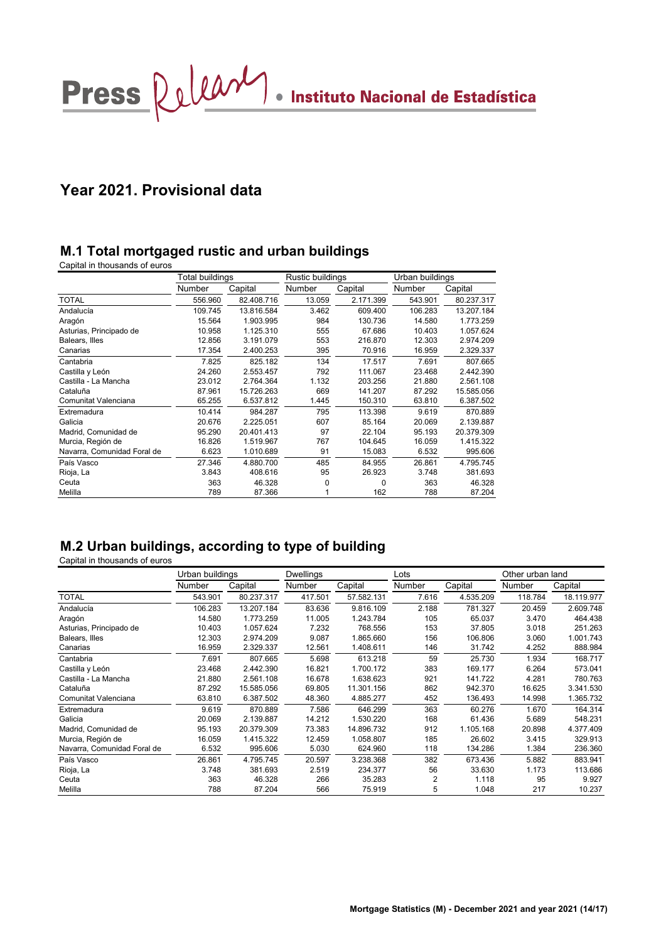Press  $\Omega$ uma Instituto Nacional de Estadística

## **Year 2021. Provisional data**

## **M.1 Total mortgaged rustic and urban buildings**

Capital in thousands of euros

|                             | Total buildings |            | Rustic buildings |           | Urban buildings |            |
|-----------------------------|-----------------|------------|------------------|-----------|-----------------|------------|
|                             | Number          | Capital    | Number           | Capital   | Number          | Capital    |
| <b>TOTAL</b>                | 556.960         | 82.408.716 | 13.059           | 2.171.399 | 543.901         | 80.237.317 |
| Andalucía                   | 109.745         | 13.816.584 | 3.462            | 609.400   | 106.283         | 13.207.184 |
| Aragón                      | 15.564          | 1.903.995  | 984              | 130.736   | 14.580          | 1.773.259  |
| Asturias, Principado de     | 10.958          | 1.125.310  | 555              | 67.686    | 10.403          | 1.057.624  |
| Balears, Illes              | 12.856          | 3.191.079  | 553              | 216.870   | 12.303          | 2.974.209  |
| Canarias                    | 17.354          | 2.400.253  | 395              | 70.916    | 16.959          | 2.329.337  |
| Cantabria                   | 7.825           | 825.182    | 134              | 17.517    | 7.691           | 807.665    |
| Castilla y León             | 24.260          | 2.553.457  | 792              | 111.067   | 23.468          | 2.442.390  |
| Castilla - La Mancha        | 23.012          | 2.764.364  | 1.132            | 203.256   | 21.880          | 2.561.108  |
| Cataluña                    | 87.961          | 15.726.263 | 669              | 141.207   | 87.292          | 15.585.056 |
| Comunitat Valenciana        | 65.255          | 6.537.812  | 1.445            | 150.310   | 63.810          | 6.387.502  |
| Extremadura                 | 10.414          | 984.287    | 795              | 113.398   | 9.619           | 870.889    |
| Galicia                     | 20.676          | 2.225.051  | 607              | 85.164    | 20.069          | 2.139.887  |
| Madrid, Comunidad de        | 95.290          | 20.401.413 | 97               | 22.104    | 95.193          | 20.379.309 |
| Murcia, Región de           | 16.826          | 1.519.967  | 767              | 104.645   | 16.059          | 1.415.322  |
| Navarra, Comunidad Foral de | 6.623           | 1.010.689  | 91               | 15.083    | 6.532           | 995.606    |
| País Vasco                  | 27.346          | 4.880.700  | 485              | 84.955    | 26.861          | 4.795.745  |
| Rioja, La                   | 3.843           | 408.616    | 95               | 26.923    | 3.748           | 381.693    |
| Ceuta                       | 363             | 46.328     | $\mathbf 0$      | $\Omega$  | 363             | 46.328     |
| Melilla                     | 789             | 87.366     |                  | 162       | 788             | 87.204     |

## **M.2 Urban buildings, according to type of building**

|                             | Urban buildings |            | Dwellings     |            | Lots          |           | Other urban land |            |
|-----------------------------|-----------------|------------|---------------|------------|---------------|-----------|------------------|------------|
|                             | <b>Number</b>   | Capital    | <b>Number</b> | Capital    | <b>Number</b> | Capital   | <b>Number</b>    | Capital    |
| TOTAL                       | 543.901         | 80.237.317 | 417.501       | 57.582.131 | 7.616         | 4.535.209 | 118.784          | 18.119.977 |
| Andalucía                   | 106.283         | 13.207.184 | 83.636        | 9.816.109  | 2.188         | 781.327   | 20.459           | 2.609.748  |
| Aragón                      | 14.580          | 1.773.259  | 11.005        | 1.243.784  | 105           | 65.037    | 3.470            | 464.438    |
| Asturias, Principado de     | 10.403          | 1.057.624  | 7.232         | 768.556    | 153           | 37.805    | 3.018            | 251.263    |
| Balears, Illes              | 12.303          | 2.974.209  | 9.087         | 1.865.660  | 156           | 106.806   | 3.060            | 1.001.743  |
| Canarias                    | 16.959          | 2.329.337  | 12.561        | 1.408.611  | 146           | 31.742    | 4.252            | 888.984    |
| Cantabria                   | 7.691           | 807.665    | 5.698         | 613.218    | 59            | 25.730    | 1.934            | 168.717    |
| Castilla y León             | 23.468          | 2.442.390  | 16.821        | 1.700.172  | 383           | 169.177   | 6.264            | 573.041    |
| Castilla - La Mancha        | 21.880          | 2.561.108  | 16.678        | 1.638.623  | 921           | 141.722   | 4.281            | 780.763    |
| Cataluña                    | 87.292          | 15.585.056 | 69.805        | 11.301.156 | 862           | 942.370   | 16.625           | 3.341.530  |
| Comunitat Valenciana        | 63.810          | 6.387.502  | 48.360        | 4.885.277  | 452           | 136.493   | 14.998           | 1.365.732  |
| Extremadura                 | 9.619           | 870.889    | 7.586         | 646.299    | 363           | 60.276    | 1.670            | 164.314    |
| Galicia                     | 20.069          | 2.139.887  | 14.212        | 1.530.220  | 168           | 61.436    | 5.689            | 548.231    |
| Madrid, Comunidad de        | 95.193          | 20.379.309 | 73.383        | 14.896.732 | 912           | 1.105.168 | 20.898           | 4.377.409  |
| Murcia, Región de           | 16.059          | 1.415.322  | 12.459        | 1.058.807  | 185           | 26.602    | 3.415            | 329.913    |
| Navarra, Comunidad Foral de | 6.532           | 995.606    | 5.030         | 624.960    | 118           | 134.286   | 1.384            | 236.360    |
| País Vasco                  | 26.861          | 4.795.745  | 20.597        | 3.238.368  | 382           | 673.436   | 5.882            | 883.941    |
| Rioja, La                   | 3.748           | 381.693    | 2.519         | 234.377    | 56            | 33.630    | 1.173            | 113.686    |
| Ceuta                       | 363             | 46.328     | 266           | 35.283     | 2             | 1.118     | 95               | 9.927      |
| Melilla                     | 788             | 87.204     | 566           | 75.919     | 5             | 1.048     | 217              | 10.237     |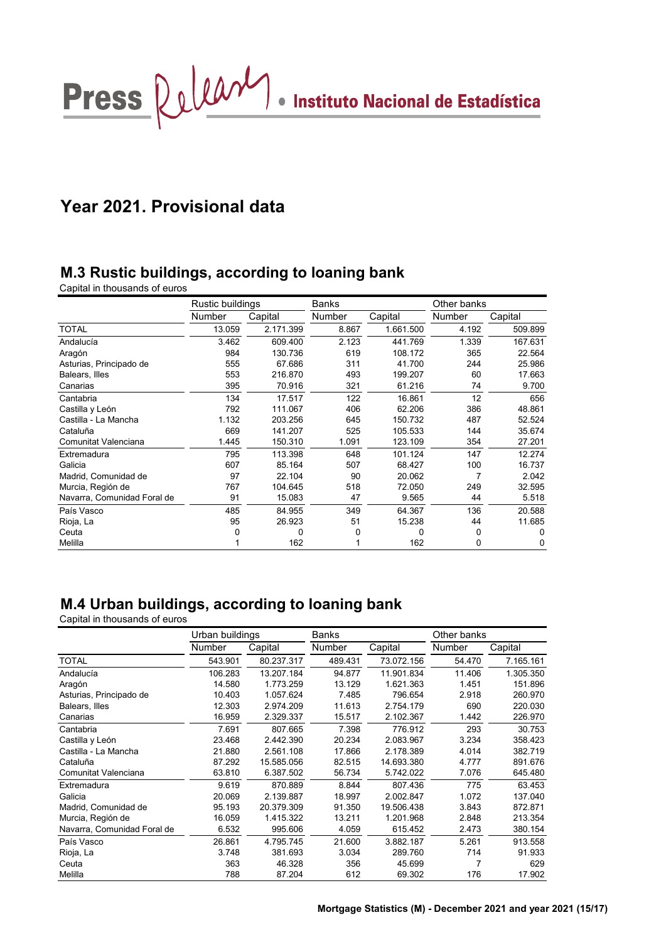

# **Year 2021. Provisional data**

## **M.3 Rustic buildings, according to loaning bank**

Capital in thousands of euros

|                             | Rustic buildings |           | Banks  |           | Other banks |          |  |
|-----------------------------|------------------|-----------|--------|-----------|-------------|----------|--|
|                             | Number           | Capital   | Number | Capital   | Number      | Capital  |  |
| <b>TOTAL</b>                | 13.059           | 2.171.399 | 8.867  | 1.661.500 | 4.192       | 509.899  |  |
| Andalucía                   | 3.462            | 609.400   | 2.123  | 441.769   | 1.339       | 167.631  |  |
| Aragón                      | 984              | 130.736   | 619    | 108.172   | 365         | 22.564   |  |
| Asturias, Principado de     | 555              | 67.686    | 311    | 41.700    | 244         | 25.986   |  |
| Balears, Illes              | 553              | 216.870   | 493    | 199.207   | 60          | 17.663   |  |
| Canarias                    | 395              | 70.916    | 321    | 61.216    | 74          | 9.700    |  |
| Cantabria                   | 134              | 17.517    | 122    | 16.861    | 12          | 656      |  |
| Castilla y León             | 792              | 111.067   | 406    | 62.206    | 386         | 48.861   |  |
| Castilla - La Mancha        | 1.132            | 203.256   | 645    | 150.732   | 487         | 52.524   |  |
| Cataluña                    | 669              | 141.207   | 525    | 105.533   | 144         | 35.674   |  |
| Comunitat Valenciana        | 1.445            | 150.310   | 1.091  | 123.109   | 354         | 27.201   |  |
| Extremadura                 | 795              | 113.398   | 648    | 101.124   | 147         | 12.274   |  |
| Galicia                     | 607              | 85.164    | 507    | 68.427    | 100         | 16.737   |  |
| Madrid, Comunidad de        | 97               | 22.104    | 90     | 20.062    | 7           | 2.042    |  |
| Murcia, Región de           | 767              | 104.645   | 518    | 72.050    | 249         | 32.595   |  |
| Navarra, Comunidad Foral de | 91               | 15.083    | 47     | 9.565     | 44          | 5.518    |  |
| País Vasco                  | 485              | 84.955    | 349    | 64.367    | 136         | 20.588   |  |
| Rioja, La                   | 95               | 26.923    | 51     | 15.238    | 44          | 11.685   |  |
| Ceuta                       | 0                | 0         | 0      | 0         | 0           | $\Omega$ |  |
| Melilla                     |                  | 162       |        | 162       | 0           | 0        |  |

## **M.4 Urban buildings, according to loaning bank**

|                             | Urban buildings |            | Banks   |            | Other banks |           |  |
|-----------------------------|-----------------|------------|---------|------------|-------------|-----------|--|
|                             | Number          | Capital    | Number  | Capital    | Number      | Capital   |  |
| <b>TOTAL</b>                | 543.901         | 80.237.317 | 489.431 | 73.072.156 | 54.470      | 7.165.161 |  |
| Andalucía                   | 106.283         | 13.207.184 | 94.877  | 11.901.834 | 11.406      | 1.305.350 |  |
| Aragón                      | 14.580          | 1.773.259  | 13.129  | 1.621.363  | 1.451       | 151.896   |  |
| Asturias, Principado de     | 10.403          | 1.057.624  | 7.485   | 796.654    | 2.918       | 260.970   |  |
| Balears, Illes              | 12.303          | 2.974.209  | 11.613  | 2.754.179  | 690         | 220.030   |  |
| Canarias                    | 16.959          | 2.329.337  | 15.517  | 2.102.367  | 1.442       | 226.970   |  |
| Cantabria                   | 7.691           | 807.665    | 7.398   | 776.912    | 293         | 30.753    |  |
| Castilla y León             | 23.468          | 2.442.390  | 20.234  | 2.083.967  | 3.234       | 358.423   |  |
| Castilla - La Mancha        | 21.880          | 2.561.108  | 17.866  | 2.178.389  | 4.014       | 382.719   |  |
| Cataluña                    | 87.292          | 15.585.056 | 82.515  | 14.693.380 | 4.777       | 891.676   |  |
| Comunitat Valenciana        | 63.810          | 6.387.502  | 56.734  | 5.742.022  | 7.076       | 645.480   |  |
| Extremadura                 | 9.619           | 870.889    | 8.844   | 807.436    | 775         | 63.453    |  |
| Galicia                     | 20.069          | 2.139.887  | 18.997  | 2.002.847  | 1.072       | 137.040   |  |
| Madrid, Comunidad de        | 95.193          | 20.379.309 | 91.350  | 19.506.438 | 3.843       | 872.871   |  |
| Murcia, Región de           | 16.059          | 1.415.322  | 13.211  | 1.201.968  | 2.848       | 213.354   |  |
| Navarra, Comunidad Foral de | 6.532           | 995.606    | 4.059   | 615.452    | 2.473       | 380.154   |  |
| País Vasco                  | 26.861          | 4.795.745  | 21.600  | 3.882.187  | 5.261       | 913.558   |  |
| Rioja, La                   | 3.748           | 381.693    | 3.034   | 289.760    | 714         | 91.933    |  |
| Ceuta                       | 363             | 46.328     | 356     | 45.699     | 7           | 629       |  |
| Melilla                     | 788             | 87.204     | 612     | 69.302     | 176         | 17.902    |  |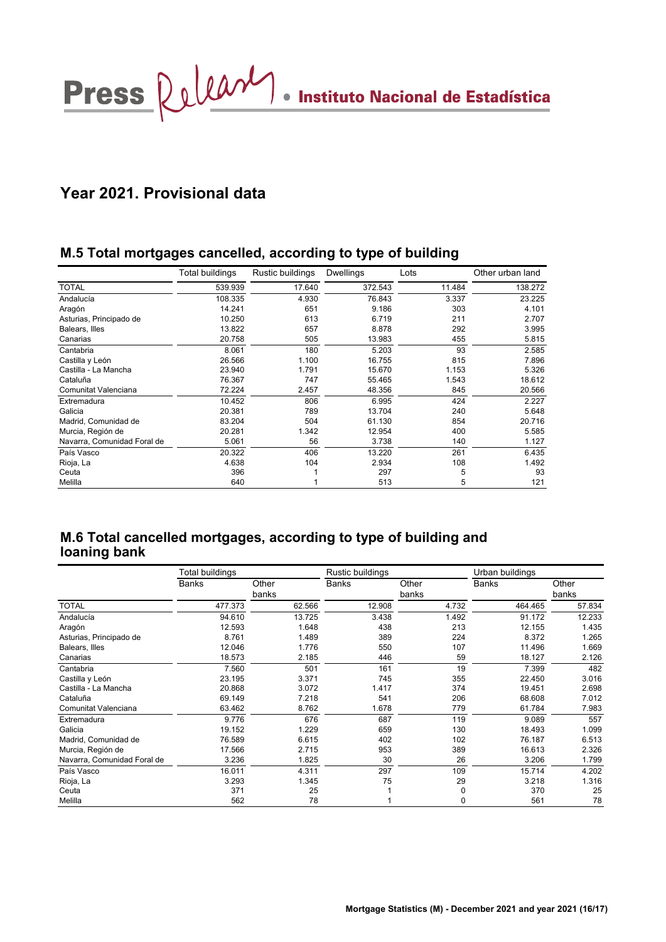Press  $\Omega$ um/ . Instituto Nacional de Estadística

## **Year 2021. Provisional data**

## **M.5 Total mortgages cancelled, according to type of building**

|                             | Total buildings | Rustic buildings | <b>Dwellings</b> | Lots   | Other urban land |
|-----------------------------|-----------------|------------------|------------------|--------|------------------|
| <b>TOTAL</b>                | 539.939         | 17.640           | 372.543          | 11.484 | 138.272          |
| Andalucía                   | 108.335         | 4.930            | 76.843           | 3.337  | 23.225           |
| Aragón                      | 14.241          | 651              | 9.186            | 303    | 4.101            |
| Asturias, Principado de     | 10.250          | 613              | 6.719            | 211    | 2.707            |
| Balears, Illes              | 13.822          | 657              | 8.878            | 292    | 3.995            |
| Canarias                    | 20.758          | 505              | 13.983           | 455    | 5.815            |
| Cantabria                   | 8.061           | 180              | 5.203            | 93     | 2.585            |
| Castilla y León             | 26.566          | 1.100            | 16.755           | 815    | 7.896            |
| Castilla - La Mancha        | 23.940          | 1.791            | 15.670           | 1.153  | 5.326            |
| Cataluña                    | 76.367          | 747              | 55.465           | 1.543  | 18.612           |
| Comunitat Valenciana        | 72.224          | 2.457            | 48.356           | 845    | 20.566           |
| Extremadura                 | 10.452          | 806              | 6.995            | 424    | 2.227            |
| Galicia                     | 20.381          | 789              | 13.704           | 240    | 5.648            |
| Madrid, Comunidad de        | 83.204          | 504              | 61.130           | 854    | 20.716           |
| Murcia, Región de           | 20.281          | 1.342            | 12.954           | 400    | 5.585            |
| Navarra, Comunidad Foral de | 5.061           | 56               | 3.738            | 140    | 1.127            |
| País Vasco                  | 20.322          | 406              | 13.220           | 261    | 6.435            |
| Rioja, La                   | 4.638           | 104              | 2.934            | 108    | 1.492            |
| Ceuta                       | 396             |                  | 297              | 5      | 93               |
| Melilla                     | 640             |                  | 513              | 5      | 121              |

## **M.6 Total cancelled mortgages, according to type of building and loaning bank**

|                             | Total buildings |                | Rustic buildings |                | Urban buildings |                |  |
|-----------------------------|-----------------|----------------|------------------|----------------|-----------------|----------------|--|
|                             | Banks           | Other<br>banks | <b>Banks</b>     | Other<br>banks | <b>Banks</b>    | Other<br>banks |  |
| <b>TOTAL</b>                | 477.373         | 62.566         | 12.908           | 4.732          | 464.465         | 57.834         |  |
| Andalucía                   | 94.610          | 13.725         | 3.438            | 1.492          | 91.172          | 12.233         |  |
| Aragón                      | 12.593          | 1.648          | 438              | 213            | 12.155          | 1.435          |  |
| Asturias, Principado de     | 8.761           | 1.489          | 389              | 224            | 8.372           | 1.265          |  |
| Balears, Illes              | 12.046          | 1.776          | 550              | 107            | 11.496          | 1.669          |  |
| Canarias                    | 18.573          | 2.185          | 446              | 59             | 18.127          | 2.126          |  |
| Cantabria                   | 7.560           | 501            | 161              | 19             | 7.399           | 482            |  |
| Castilla y León             | 23.195          | 3.371          | 745              | 355            | 22.450          | 3.016          |  |
| Castilla - La Mancha        | 20.868          | 3.072          | 1.417            | 374            | 19.451          | 2.698          |  |
| Cataluña                    | 69.149          | 7.218          | 541              | 206            | 68.608          | 7.012          |  |
| Comunitat Valenciana        | 63.462          | 8.762          | 1.678            | 779            | 61.784          | 7.983          |  |
| Extremadura                 | 9.776           | 676            | 687              | 119            | 9.089           | 557            |  |
| Galicia                     | 19.152          | 1.229          | 659              | 130            | 18.493          | 1.099          |  |
| Madrid, Comunidad de        | 76.589          | 6.615          | 402              | 102            | 76.187          | 6.513          |  |
| Murcia, Región de           | 17.566          | 2.715          | 953              | 389            | 16.613          | 2.326          |  |
| Navarra, Comunidad Foral de | 3.236           | 1.825          | 30               | 26             | 3.206           | 1.799          |  |
| País Vasco                  | 16.011          | 4.311          | 297              | 109            | 15.714          | 4.202          |  |
| Rioja, La                   | 3.293           | 1.345          | 75               | 29             | 3.218           | 1.316          |  |
| Ceuta                       | 371             | 25             |                  | 0              | 370             | 25             |  |
| Melilla                     | 562             | 78             |                  | 0              | 561             | 78             |  |